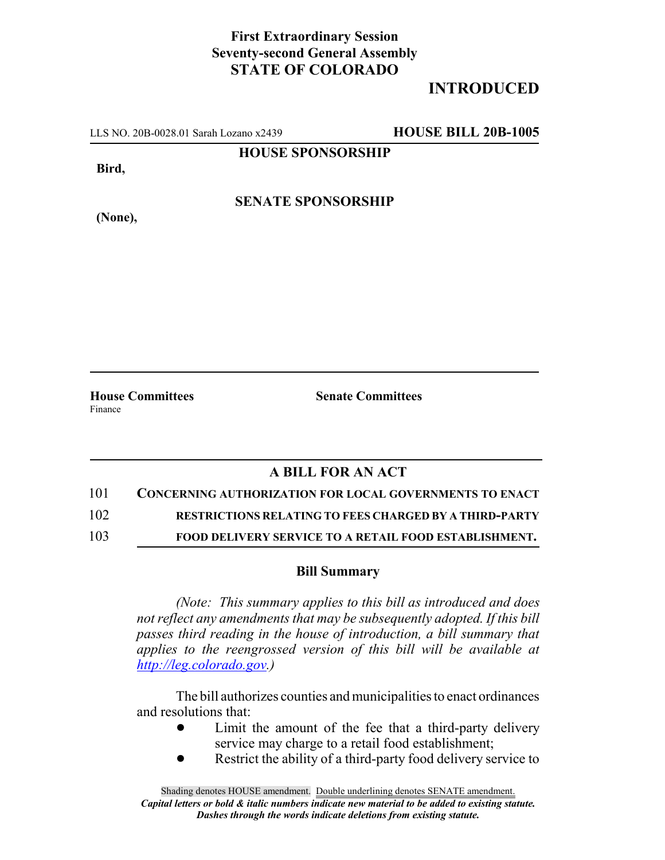## **First Extraordinary Session Seventy-second General Assembly STATE OF COLORADO**

## **INTRODUCED**

LLS NO. 20B-0028.01 Sarah Lozano x2439 **HOUSE BILL 20B-1005**

**HOUSE SPONSORSHIP**

**Bird,**

**(None),**

**SENATE SPONSORSHIP**

**House Committees Senate Committees** Finance

## **A BILL FOR AN ACT**

- 101 **CONCERNING AUTHORIZATION FOR LOCAL GOVERNMENTS TO ENACT**
- 102 **RESTRICTIONS RELATING TO FEES CHARGED BY A THIRD-PARTY**
- 103 **FOOD DELIVERY SERVICE TO A RETAIL FOOD ESTABLISHMENT.**

## **Bill Summary**

*(Note: This summary applies to this bill as introduced and does not reflect any amendments that may be subsequently adopted. If this bill passes third reading in the house of introduction, a bill summary that applies to the reengrossed version of this bill will be available at http://leg.colorado.gov.)*

The bill authorizes counties and municipalities to enact ordinances and resolutions that:

- Limit the amount of the fee that a third-party delivery service may charge to a retail food establishment;
- Restrict the ability of a third-party food delivery service to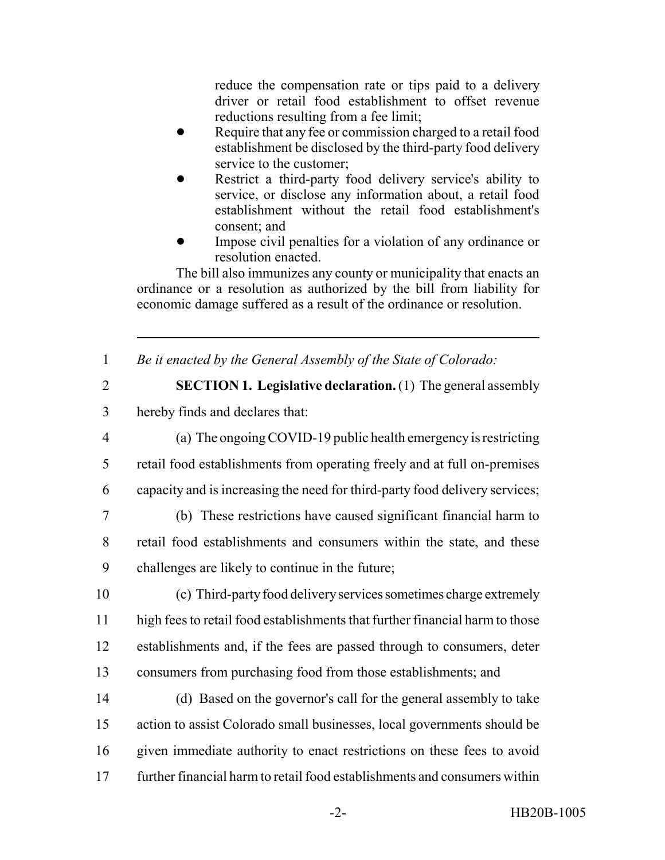reduce the compensation rate or tips paid to a delivery driver or retail food establishment to offset revenue reductions resulting from a fee limit;

- Require that any fee or commission charged to a retail food establishment be disclosed by the third-party food delivery service to the customer;
- Restrict a third-party food delivery service's ability to service, or disclose any information about, a retail food establishment without the retail food establishment's consent; and
- Impose civil penalties for a violation of any ordinance or resolution enacted.

The bill also immunizes any county or municipality that enacts an ordinance or a resolution as authorized by the bill from liability for economic damage suffered as a result of the ordinance or resolution.

1 *Be it enacted by the General Assembly of the State of Colorado:*

2 **SECTION 1. Legislative declaration.** (1) The general assembly 3 hereby finds and declares that:

- 4 (a) The ongoing COVID-19 public health emergency is restricting 5 retail food establishments from operating freely and at full on-premises 6 capacity and is increasing the need for third-party food delivery services;
- 7 (b) These restrictions have caused significant financial harm to 8 retail food establishments and consumers within the state, and these 9 challenges are likely to continue in the future;
- 10 (c) Third-party food delivery services sometimes charge extremely 11 high fees to retail food establishments that further financial harm to those 12 establishments and, if the fees are passed through to consumers, deter 13 consumers from purchasing food from those establishments; and
- 14 (d) Based on the governor's call for the general assembly to take 15 action to assist Colorado small businesses, local governments should be 16 given immediate authority to enact restrictions on these fees to avoid 17 further financial harm to retail food establishments and consumers within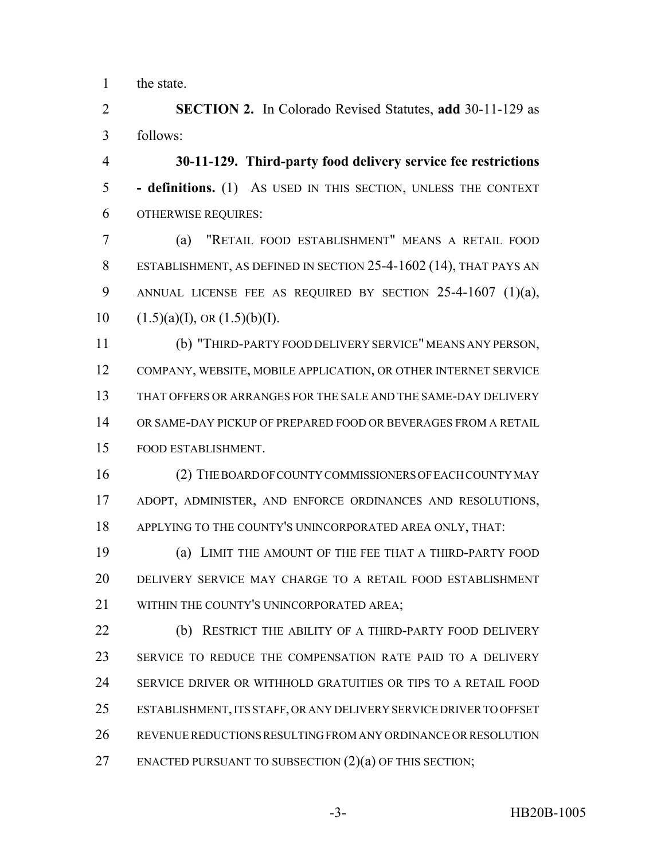the state.

 **SECTION 2.** In Colorado Revised Statutes, **add** 30-11-129 as follows:

 **30-11-129. Third-party food delivery service fee restrictions - definitions.** (1) AS USED IN THIS SECTION, UNLESS THE CONTEXT OTHERWISE REQUIRES:

 (a) "RETAIL FOOD ESTABLISHMENT" MEANS A RETAIL FOOD ESTABLISHMENT, AS DEFINED IN SECTION 25-4-1602 (14), THAT PAYS AN ANNUAL LICENSE FEE AS REQUIRED BY SECTION 25-4-1607 (1)(a),  $(1.5)(a)(I)$ , OR  $(1.5)(b)(I)$ .

 (b) "THIRD-PARTY FOOD DELIVERY SERVICE" MEANS ANY PERSON, COMPANY, WEBSITE, MOBILE APPLICATION, OR OTHER INTERNET SERVICE THAT OFFERS OR ARRANGES FOR THE SALE AND THE SAME-DAY DELIVERY OR SAME-DAY PICKUP OF PREPARED FOOD OR BEVERAGES FROM A RETAIL FOOD ESTABLISHMENT.

 (2) THE BOARD OF COUNTY COMMISSIONERS OF EACH COUNTY MAY ADOPT, ADMINISTER, AND ENFORCE ORDINANCES AND RESOLUTIONS, APPLYING TO THE COUNTY'S UNINCORPORATED AREA ONLY, THAT:

 (a) LIMIT THE AMOUNT OF THE FEE THAT A THIRD-PARTY FOOD DELIVERY SERVICE MAY CHARGE TO A RETAIL FOOD ESTABLISHMENT 21 WITHIN THE COUNTY'S UNINCORPORATED AREA:

 (b) RESTRICT THE ABILITY OF A THIRD-PARTY FOOD DELIVERY SERVICE TO REDUCE THE COMPENSATION RATE PAID TO A DELIVERY SERVICE DRIVER OR WITHHOLD GRATUITIES OR TIPS TO A RETAIL FOOD ESTABLISHMENT, ITS STAFF, OR ANY DELIVERY SERVICE DRIVER TO OFFSET REVENUE REDUCTIONS RESULTING FROM ANY ORDINANCE OR RESOLUTION 27 ENACTED PURSUANT TO SUBSECTION (2)(a) OF THIS SECTION;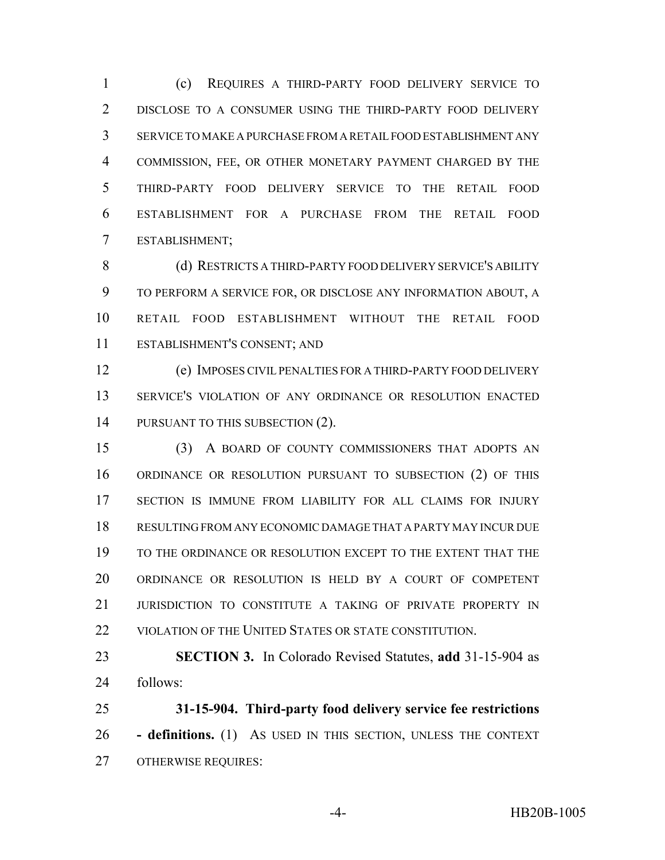(c) REQUIRES A THIRD-PARTY FOOD DELIVERY SERVICE TO DISCLOSE TO A CONSUMER USING THE THIRD-PARTY FOOD DELIVERY SERVICE TO MAKE A PURCHASE FROM A RETAIL FOOD ESTABLISHMENT ANY COMMISSION, FEE, OR OTHER MONETARY PAYMENT CHARGED BY THE THIRD-PARTY FOOD DELIVERY SERVICE TO THE RETAIL FOOD ESTABLISHMENT FOR A PURCHASE FROM THE RETAIL FOOD ESTABLISHMENT;

8 (d) RESTRICTS A THIRD-PARTY FOOD DELIVERY SERVICE'S ABILITY TO PERFORM A SERVICE FOR, OR DISCLOSE ANY INFORMATION ABOUT, A RETAIL FOOD ESTABLISHMENT WITHOUT THE RETAIL FOOD ESTABLISHMENT'S CONSENT; AND

 (e) IMPOSES CIVIL PENALTIES FOR A THIRD-PARTY FOOD DELIVERY SERVICE'S VIOLATION OF ANY ORDINANCE OR RESOLUTION ENACTED 14 PURSUANT TO THIS SUBSECTION (2).

 (3) A BOARD OF COUNTY COMMISSIONERS THAT ADOPTS AN ORDINANCE OR RESOLUTION PURSUANT TO SUBSECTION (2) OF THIS SECTION IS IMMUNE FROM LIABILITY FOR ALL CLAIMS FOR INJURY RESULTING FROM ANY ECONOMIC DAMAGE THAT A PARTY MAY INCUR DUE TO THE ORDINANCE OR RESOLUTION EXCEPT TO THE EXTENT THAT THE ORDINANCE OR RESOLUTION IS HELD BY A COURT OF COMPETENT 21 JURISDICTION TO CONSTITUTE A TAKING OF PRIVATE PROPERTY IN 22 VIOLATION OF THE UNITED STATES OR STATE CONSTITUTION.

 **SECTION 3.** In Colorado Revised Statutes, **add** 31-15-904 as follows:

 **31-15-904. Third-party food delivery service fee restrictions - definitions.** (1) AS USED IN THIS SECTION, UNLESS THE CONTEXT OTHERWISE REQUIRES: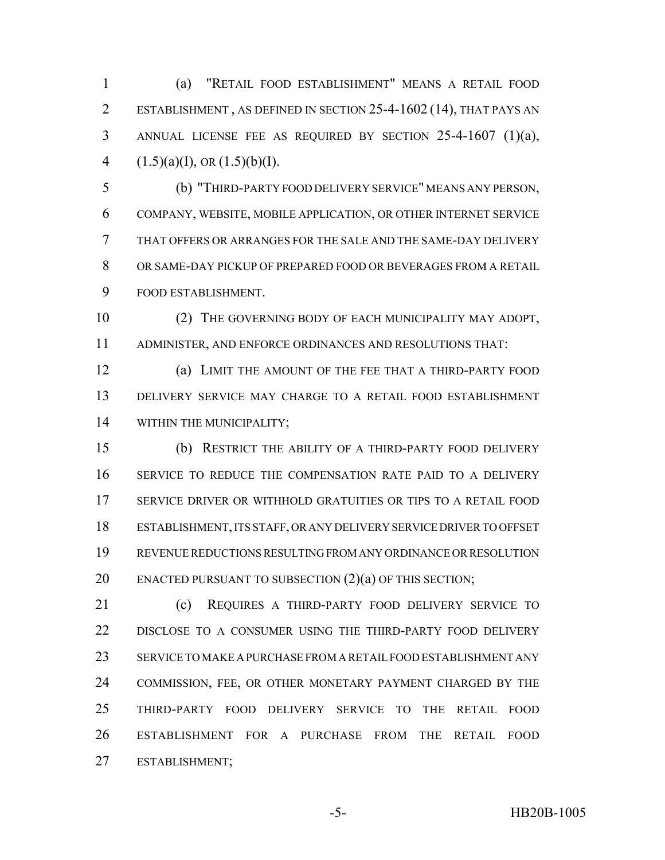(a) "RETAIL FOOD ESTABLISHMENT" MEANS A RETAIL FOOD ESTABLISHMENT , AS DEFINED IN SECTION 25-4-1602 (14), THAT PAYS AN ANNUAL LICENSE FEE AS REQUIRED BY SECTION 25-4-1607 (1)(a),  $(1.5)(a)(I)$ , OR  $(1.5)(b)(I)$ .

 (b) "THIRD-PARTY FOOD DELIVERY SERVICE" MEANS ANY PERSON, COMPANY, WEBSITE, MOBILE APPLICATION, OR OTHER INTERNET SERVICE THAT OFFERS OR ARRANGES FOR THE SALE AND THE SAME-DAY DELIVERY OR SAME-DAY PICKUP OF PREPARED FOOD OR BEVERAGES FROM A RETAIL FOOD ESTABLISHMENT.

 (2) THE GOVERNING BODY OF EACH MUNICIPALITY MAY ADOPT, ADMINISTER, AND ENFORCE ORDINANCES AND RESOLUTIONS THAT:

 (a) LIMIT THE AMOUNT OF THE FEE THAT A THIRD-PARTY FOOD DELIVERY SERVICE MAY CHARGE TO A RETAIL FOOD ESTABLISHMENT WITHIN THE MUNICIPALITY;

 (b) RESTRICT THE ABILITY OF A THIRD-PARTY FOOD DELIVERY SERVICE TO REDUCE THE COMPENSATION RATE PAID TO A DELIVERY SERVICE DRIVER OR WITHHOLD GRATUITIES OR TIPS TO A RETAIL FOOD ESTABLISHMENT, ITS STAFF, OR ANY DELIVERY SERVICE DRIVER TO OFFSET REVENUE REDUCTIONS RESULTING FROM ANY ORDINANCE OR RESOLUTION 20 ENACTED PURSUANT TO SUBSECTION (2)(a) OF THIS SECTION;

 (c) REQUIRES A THIRD-PARTY FOOD DELIVERY SERVICE TO DISCLOSE TO A CONSUMER USING THE THIRD-PARTY FOOD DELIVERY SERVICE TO MAKE A PURCHASE FROM A RETAIL FOOD ESTABLISHMENT ANY COMMISSION, FEE, OR OTHER MONETARY PAYMENT CHARGED BY THE THIRD-PARTY FOOD DELIVERY SERVICE TO THE RETAIL FOOD ESTABLISHMENT FOR A PURCHASE FROM THE RETAIL FOOD ESTABLISHMENT;